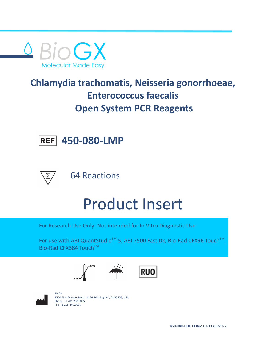

## **Chlamydia trachomatis, Neisseria gonorrhoeae, Enterococcus faecalis Open System PCR Reagents**



64 Reactions

**450-080-LMP**

# Product Insert

For Research Use Only: Not intended for In Vitro Diagnostic Use

For use with ABI QuantStudio<sup>™</sup> 5, ABI 7500 Fast Dx, Bio-Rad CFX96 Touch<sup>™</sup>, , Bio-Rad CFX384 Touch™







BioGX 1500 First Avenue, North, L136, Birmingham, AL 35203, USA Phone: +1.205.250.8055 Fax: +1.205.449.8055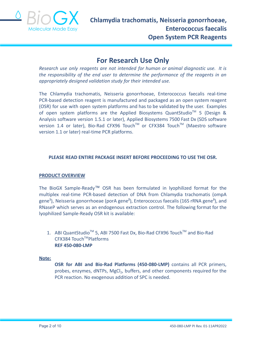

### **For Research Use Only**

*Research use only reagents are not intended for human or animal diagnostic use. It is the responsibility of the end user to determine the performance of the reagents in an appropriately designed validation study for their intended use.*

The Chlamydia trachomatis, Neisseria gonorrhoeae, Enterococcus faecalis real-time PCR-based detection reagent is manufactured and packaged as an open system reagent (OSR) for use with open system platforms and has to be validated by the user. Examples of open system platforms are the Applied Biosystems QuantStudio™ 5 (Design & Analysis software version 1.5.1 or later), Applied Biosystems 7500 Fast Dx (SDS software version 1.4 or later), Bio-Rad CFX96 Touch™ or CFX384 Touch™ (Maestro software version 1.1 or later) real-time PCR platforms.

#### **PLEASE READ ENTIRE PACKAGE INSERT BEFORE PROCEEDING TO USE THE OSR.**

#### **PRODUCT OVERVIEW**

The BioGX Sample-Ready™ OSR has been formulated in lyophilized format for the multiplex real-time PCR-based detection of DNA from Chlamydia trachomatis (ompA gene**<sup>1</sup>** ), Neisseria gonorrhoeae (porA gene**<sup>2</sup>** ), Enterococcus faecalis (16S rRNA gene**<sup>3</sup>** ), and RNaseP which serves as an endogenous extraction control. The following format for the lyophilized Sample-Ready OSR kit is available:

1. ABI QuantStudio<sup>™</sup> 5, ABI 7500 Fast Dx, Bio-Rad CFX96 Touch<sup>™</sup> and Bio-Rad CFX384 Touch™Platforms **REF 450-080-LMP**

#### **Note:**

**OSR for ABI and Bio-Rad Platforms (450-080-LMP)** contains all PCR primers, probes, enzymes, dNTPs, MgCl<sub>2</sub>, buffers, and other components required for the PCR reaction. No exogenous addition of SPC is needed.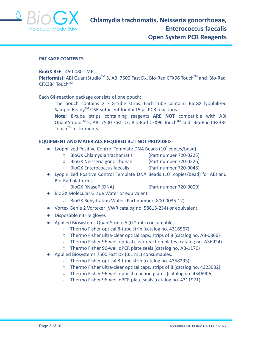

#### **PACKAGE CONTENTS**

#### **BioGX REF:** 450-080-LMP

Platform(s): ABI QuantStudio<sup>™</sup> 5, ABI 7500 Fast Dx, Bio-Rad CFX96 Touch<sup>™</sup> and Bio-Rad CFX384 Touch™

Each 64-reaction package consists of one pouch:

The pouch contains 2 x 8-tube strips. Each tube contains BioGX lyophilized Sample-Ready<sup>TM</sup> OSR sufficient for 4 x 15  $\mu$ L PCR reactions.

**Note:** 8-tube strips containing reagents **ARE NOT** compatible with ABI QuantStudio<sup>™</sup> 5, ABI 7500 Fast Dx, Bio-Rad CFX96 Touch™ and Bio-Rad CFX384 Touch<sup>™</sup> instruments.

#### **EQUIPMENT AND MATERIALS REQUIRED BUT NOT PROVIDED**

- Lyophilized Positive Control Template DNA Beads  $(10^5 \text{ copies/head})$ 
	- BioGX Chlamydia trachomatis (Part number 720-0225)
		-
	- BioGX Neisseria gonorrhoeae (Part number 720-0226)
		-
	- BioGX Enterococcus faecalis (Part number 720-0048)
- Lyophilized Positive Control Template DNA Beads (10<sup>5</sup> copies/bead) for ABI and Bio-Rad platforms
	- BioGX RNaseP (DNA) (Part number 720-0009)
- BioGX Molecular Grade Water or equivalent
	- BioGX Rehydration Water (Part number: 800-0035-12)
- Vortex Genie 2 Vortexer (VWR catalog no. 58815-234) or equivalent
- Disposable nitrile gloves
- Applied Biosystems QuantStudio 5 (0.2 mL) consumables.
	- Thermo Fisher optical 8-tube strip (catalog no. 4316567)
	- Thermo Fisher ultra-clear optical caps, strips of 8 (catalog no. AB-0866)
	- Thermo Fisher 96-well optical clear reaction plates (catalog no. A36924)
	- Thermo Fisher 96-well qPCR plate seals (catalog no. AB-1170)
- Applied Biosystems 7500 Fast Dx (0.1 mL) consumables.
	- Thermo Fisher optical 8-tube strip (catalog no. 4358293)
	- Thermo Fisher ultra-clear optical caps, strips of 8 (catalog no. 4323032)
	- Thermo Fisher 96-well optical reaction plates (catalog no. 4346906)
	- Thermo Fisher 96-well qPCR plate seals (catalog no. 4311971)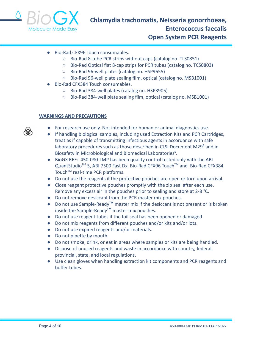

- Bio-Rad CFX96 Touch consumables.
	- Bio-Rad 8-tube PCR strips without caps (catalog no. TLS0851)
	- Bio-Rad Optical flat 8-cap strips for PCR tubes (catalog no. TCS0803)
	- Bio-Rad 96-well plates (catalog no. HSP9655)
	- Bio-Rad 96-well plate sealing film, optical (catalog no. MSB1001)
- Bio-Rad CFX384 Touch consumables.
	- Bio-Rad 384-well plates (catalog no. HSP3905)
	- Bio-Rad 384-well plate sealing film, optical (catalog no. MSB1001)

#### **WARNINGS AND PRECAUTIONS**

- For research use only. Not intended for human or animal diagnostics use.
- If handling biological samples, including used Extraction Kits and PCR Cartridges, treat as if capable of transmitting infectious agents in accordance with safe laboratory procedures such as those described in CLSI Document M29**<sup>4</sup>** and in Biosafety in Microbiological and Biomedical Laboratories**<sup>5</sup>** .
- BioGX REF: 450-080-LMP has been quality control tested only with the ABI QuantStudio<sup>™</sup> 5, ABI 7500 Fast Dx, Bio-Rad CFX96 Touch™ and Bio-Rad CFX384 Touch<sup>™</sup> real-time PCR platforms.
- Do not use the reagents if the protective pouches are open or torn upon arrival.
- Close reagent protective pouches promptly with the zip seal after each use. Remove any excess air in the pouches prior to sealing and store at 2-8 °C.
- Do not remove desiccant from the PCR master mix pouches.
- Do not use Sample-Ready**TM** master mix if the desiccant is not present or is broken inside the Sample-Ready**TM** master mix pouches.
- Do not use reagent tubes if the foil seal has been opened or damaged.
- Do not mix reagents from different pouches and/or kits and/or lots.
- Do not use expired reagents and/or materials.
- Do not pipette by mouth.
- Do not smoke, drink, or eat in areas where samples or kits are being handled.
- Dispose of unused reagents and waste in accordance with country, federal, provincial, state, and local regulations.
- Use clean gloves when handling extraction kit components and PCR reagents and buffer tubes.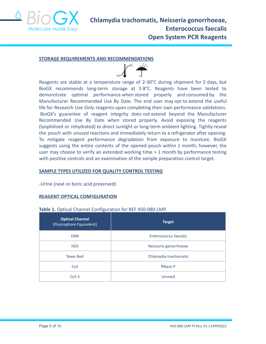

#### **STORAGE REQUIREMENTS AND RECOMMENDATIONS**



Reagents are stable at a temperature range of 2-30°C during shipment for 5 days, but BioGX recommends long-term storage at 2-8°C. Reagents have been tested to demonstrate optimal performance when stored properly and consumed by the Manufacturer Recommended Use By Date. The end user may opt to extend the useful life for Research Use Only reagents upon completing their own performance validations. BioGX's guarantee of reagent integrity does not extend beyond the Manufacturer Recommended Use By Date when stored properly. Avoid exposing the reagents (lyophilized or rehydrated) to direct sunlight or long-term ambient lighting. Tightly reseal the pouch with unused reactions and immediately return to a refrigerator after opening. To mitigate reagent performance degradation from exposure to moisture, BioGX suggests using the entire contents of the opened pouch within 1 month; however, the user may choose to verify an extended working time > 1 month by performance testing with positive controls and an examination of the sample preparation control target.

#### **SAMPLE TYPES UTILIZED FOR QUALITY CONTROL TESTING**

-Urine (neat or boric acid preserved)

#### **REAGENT OPTICAL CONFIGURATION**

#### **Table 1.** Optical Channel Configuration for REF 450-080-LMP.

| <b>Optical Channel</b><br>(Fluorophore Equivalent) | <b>Target</b>         |  |
|----------------------------------------------------|-----------------------|--|
| <b>FAM</b>                                         | Enterococcus faecalis |  |
| <b>HEX</b>                                         | Neisseria gonorrhoeae |  |
| <b>Texas Red</b>                                   | Chlamydia trachomatis |  |
| Cy <sub>5</sub>                                    | <b>RNase P</b>        |  |
| Cy5.5                                              | Unused                |  |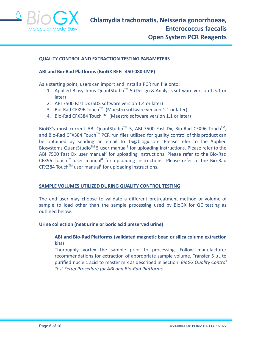

#### **QUALITY CONTROL AND EXTRACTION TESTING PARAMETERS**

#### **ABI and Bio-Rad Platforms (BioGX REF: 450-080-LMP)**

As a starting point, users can import and install a PCR run file onto:

- 1. Applied Biosystems QuantStudio<sup>™</sup> 5 (Design & Analysis software version 1.5.1 or later)
- 2. ABI 7500 Fast Dx (SDS software version 1.4 or later)
- 3. Bio-Rad CFX96 Touch<sup>™</sup> (Maestro software version 1.1 or later)
- 4. Bio-Rad CFX384 Touch™ (Maestro software version 1.1 or later)

BioGX's most current ABI QuantStudio<sup>™</sup> 5, ABI 7500 Fast Dx, Bio-Rad CFX96 Touch<sup>™</sup>, and Bio-Rad CFX384 Touch™ PCR run files utilized for quality control of this product can be obtained by sending an email to [TS@biogx.com](mailto:TS@biogx.com). Please refer to the Applied Biosystems QuantStudio<sup>™</sup> 5 user manual<sup>6</sup> for uploading instructions. Please refer to the ABI 7500 Fast Dx user manual**<sup>7</sup>** for uploading instructions. Please refer to the Bio-Rad CFX96 Touch<sup>™</sup> user manual<sup>8</sup> for uploading instructions. Please refer to the Bio-Rad CFX384 TouchTM user manual**<sup>8</sup>** for uploading instructions.

#### **SAMPLE VOLUMES UTILIZED DURING QUALITY CONTROL TESTING**

The end user may choose to validate a different pretreatment method or volume of sample to load other than the sample processing used by BioGX for QC testing as outlined below.

#### **Urine collection (neat urine or boric acid preserved urine)**

#### **ABI and Bio-Rad Platforms (validated magnetic bead or silica column extraction kits)**

Thoroughly vortex the sample prior to processing. Follow manufacturer recommendations for extraction of appropriate sample volume. Transfer 5 μL to purified nucleic acid to master mix as described in Section: *BioGX Quality Control Test Setup Procedure for ABI and Bio-Rad Platforms.*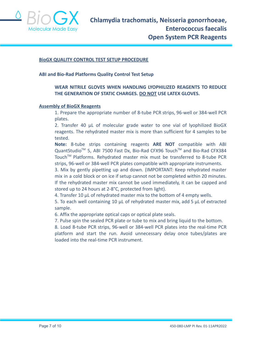

#### **BioGX QUALITY CONTROL TEST SETUP PROCEDURE**

**ABI and Bio-Rad Platforms Quality Control Test Setup**

#### **WEAR NITRILE GLOVES WHEN HANDLING LYOPHILIZED REAGENTS TO REDUCE THE GENERATION OF STATIC CHARGES. DO NOT USE LATEX GLOVES.**

#### **Assembly of BioGX Reagents**

1. Prepare the appropriate number of 8-tube PCR strips, 96-well or 384-well PCR plates.

2. Transfer 40 μL of molecular grade water to one vial of lyophilized BioGX reagents. The rehydrated master mix is more than sufficient for 4 samples to be tested.

**Note:** 8-tube strips containing reagents **ARE NOT** compatible with ABI QuantStudio<sup>™</sup> 5, ABI 7500 Fast Dx, Bio-Rad CFX96 Touch™ and Bio-Rad CFX384 Touch™ Platforms. Rehydrated master mix must be transferred to 8-tube PCR strips, 96-well or 384-well PCR plates compatible with appropriate instruments.

3. Mix by gently pipetting up and down. (IMPORTANT: Keep rehydrated master mix in a cold block or on ice if setup cannot not be completed within 20 minutes. If the rehydrated master mix cannot be used immediately, it can be capped and stored up to 24 hours at 2-8°C, protected from light).

4. Transfer 10 μL of rehydrated master mix to the bottom of 4 empty wells.

5. To each well containing 10 μL of rehydrated master mix, add 5 μL of extracted sample.

6. Affix the appropriate optical caps or optical plate seals.

7. Pulse spin the sealed PCR plate or tube to mix and bring liquid to the bottom.

8. Load 8-tube PCR strips, 96-well or 384-well PCR plates into the real-time PCR platform and start the run. Avoid unnecessary delay once tubes/plates are loaded into the real-time PCR instrument.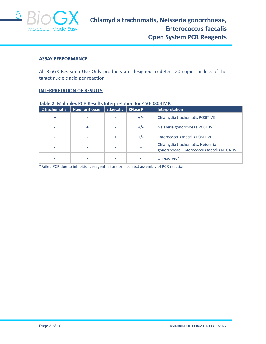

#### **ASSAY PERFORMANCE**

All BioGX Research Use Only products are designed to detect 20 copies or less of the target nucleic acid per reaction.

#### **INTERPRETATION OF RESULTS**

| <b>Table 2.</b> Multiplex PCK Results interpretation for 450-060-LiviP. |               |                   |                |                                                                                 |  |  |  |
|-------------------------------------------------------------------------|---------------|-------------------|----------------|---------------------------------------------------------------------------------|--|--|--|
| C.trachomatis                                                           | N.gonorrhoeae | <b>E.faecalis</b> | <b>RNase P</b> | Interpretation                                                                  |  |  |  |
|                                                                         |               |                   | $+/-$          | Chlamydia trachomatis POSITIVE                                                  |  |  |  |
|                                                                         | ٠             |                   | $+/-$          | Neisseria gonorrhoeae POSITIVE                                                  |  |  |  |
|                                                                         |               | ÷                 | $+/-$          | <b>Enterococcus faecalis POSITIVE</b>                                           |  |  |  |
|                                                                         |               |                   | ÷              | Chlamydia trachomatis, Neisseria<br>gonorrhoeae, Enterococcus faecalis NEGATIVE |  |  |  |
|                                                                         |               |                   |                | Unresolved*                                                                     |  |  |  |

#### **Table 2.** Multiplex PCR Results Interpretation for 450-080-LMP.

\*Failed PCR due to inhibition, reagent failure or incorrect assembly of PCR reaction.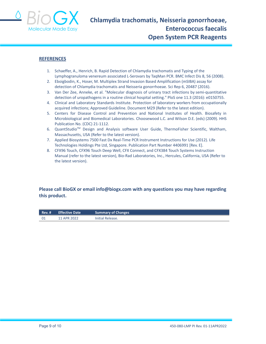

#### **REFERENCES**

- 1. Schaeffer, A., Henrich, B. Rapid Detection of Chlamydia trachomatis and Typing of the Lymphogranuloma venereum associated L-Serovars by TaqMan PCR. BMC Infect Dis 8, 56 (2008).
- 2. Eboigbodin, K., Hoser, M. Multiplex Strand Invasion Based Amplification (mSIBA) assay for detection of Chlamydia trachomatis and Neisseria gonorrhoeae. Sci Rep 6, 20487 (2016).
- 3. Van Der Zee, Anneke, et al. "Molecular diagnosis of urinary tract infections by semi-quantitative detection of uropathogens in a routine clinical hospital setting." PloS one 11.3 (2016): e0150755.
- 4. Clinical and Laboratory Standards Institute. Protection of laboratory workers from occupationally acquired infections; Approved Guideline. Document M29 (Refer to the latest edition).
- 5. Centers for Disease Control and Prevention and National Institutes of Health. Biosafety in Microbiological and Biomedical Laboratories. Choosewood L.C. and Wilson D.E. (eds) (2009). HHS Publication No. (CDC) 21-1112.
- 6. QuantStudio<sup>™</sup> Design and Analysis software User Guide, ThermoFisher Scientific, Waltham, Massachusetts, USA (Refer to the latest version).
- 7. Applied Biosystems 7500 Fast Dx Real-Time PCR Instrument Instructions for Use (2012). Life Technologies Holdings Pte Ltd, Singapore. Publication Part Number 4406991 [Rev. E].
- 8. CFX96 Touch, CFX96 Touch Deep Well, CFX Connect, and CFX384 Touch Systems Instruction Manual (refer to the latest version), Bio-Rad Laboratories, Inc., Hercules, California, USA (Refer to the latest version).

#### **Please call BioGX or email info@biogx.com with any questions you may have regarding this product.**

| Rev. # | <b>Effective Date</b> | <b>Summary of Changes</b> |
|--------|-----------------------|---------------------------|
| - 01   | 11 APR 2022           | Initial Release.          |